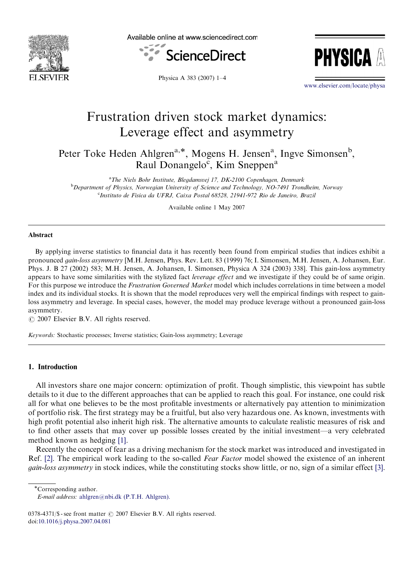

Available online at www.sciencedirect.com





Physica A 383 (2007) 1–4

<www.elsevier.com/locate/physa>

## Frustration driven stock market dynamics: Leverage effect and asymmetry

Peter Toke Heden Ahlgren<sup>a,\*</sup>, Mogens H. Jensen<sup>a</sup>, Ingve Simonsen<sup>b</sup>, Raul Donangelo<sup>c</sup>, Kim Sneppen<sup>a</sup>

<sup>a</sup>The Niels Bohr Institute, Blegdamsvej 17, DK-2100 Copenhagen, Denmark <sup>b</sup>Department of Physics, Norwegian University of Science and Technology, NO-7491 Trondheim, Norway c Instituto de Fisica da UFRJ, Caixa Postal 68528, 21941-972 Rio de Janeiro, Brazil

Available online 1 May 2007

#### Abstract

By applying inverse statistics to financial data it has recently been found from empirical studies that indices exhibit a pronounced gain-loss asymmetry [M.H. Jensen, Phys. Rev. Lett. 83 (1999) 76; I. Simonsen, M.H. Jensen, A. Johansen, Eur. Phys. J. B 27 (2002) 583; M.H. Jensen, A. Johansen, I. Simonsen, Physica A 324 (2003) 338]. This gain-loss asymmetry appears to have some similarities with the stylized fact *leverage effect* and we investigate if they could be of same origin. For this purpose we introduce the Frustration Governed Market model which includes correlations in time between a model index and its individual stocks. It is shown that the model reproduces very well the empirical findings with respect to gainloss asymmetry and leverage. In special cases, however, the model may produce leverage without a pronounced gain-loss asymmetry.

 $\odot$  2007 Elsevier B.V. All rights reserved.

Keywords: Stochastic processes; Inverse statistics; Gain-loss asymmetry; Leverage

### 1. Introduction

All investors share one major concern: optimization of profit. Though simplistic, this viewpoint has subtle details to it due to the different approaches that can be applied to reach this goal. For instance, one could risk all for what one believes to be the most profitable investments or alternatively pay attention to minimization of portfolio risk. The first strategy may be a fruitful, but also very hazardous one. As known, investments with high profit potential also inherit high risk. The alternative amounts to calculate realistic measures of risk and to find other assets that may cover up possible losses created by the initial investment—a very celebrated method known as hedging [\[1\].](#page--1-0)

Recently the concept of fear as a driving mechanism for the stock market was introduced and investigated in Ref. [\[2\].](#page--1-0) The empirical work leading to the so-called Fear Factor model showed the existence of an inherent gain-loss asymmetry in stock indices, while the constituting stocks show little, or no, sign of a similar effect [\[3\]](#page--1-0).

\*Corresponding author.

E-mail address: [ahlgren@nbi.dk \(P.T.H. Ahlgren\).](mailto:ahlgren@nbi.dk)

<sup>0378-4371/\$ -</sup> see front matter  $\odot$  2007 Elsevier B.V. All rights reserved. doi:[10.1016/j.physa.2007.04.081](dx.doi.org/10.1016/j.physa.2007.04.081)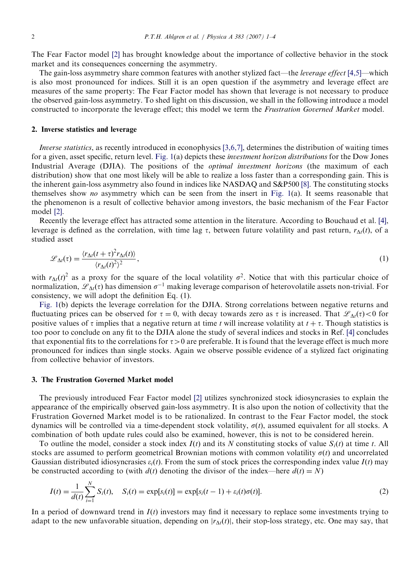The Fear Factor model [\[2\]](#page--1-0) has brought knowledge about the importance of collective behavior in the stock market and its consequences concerning the asymmetry.

The gain-loss asymmetry share common features with another stylized fact—the *leverage effect* [\[4,5\]](#page--1-0)—which is also most pronounced for indices. Still it is an open question if the asymmetry and leverage effect are measures of the same property: The Fear Factor model has shown that leverage is not necessary to produce the observed gain-loss asymmetry. To shed light on this discussion, we shall in the following introduce a model constructed to incorporate the leverage effect; this model we term the Frustration Governed Market model.

### 2. Inverse statistics and leverage

Inverse statistics, as recently introduced in econophysics [\[3,6,7\],](#page--1-0) determines the distribution of waiting times for a given, asset specific, return level. [Fig. 1\(](#page--1-0)a) depicts these investment horizon distributions for the Dow Jones Industrial Average (DJIA). The positions of the optimal investment horizons (the maximum of each distribution) show that one most likely will be able to realize a loss faster than a corresponding gain. This is the inherent gain-loss asymmetry also found in indices like NASDAQ and S&P500 [\[8\].](#page--1-0) The constituting stocks themselves show no asymmetry which can be seen from the insert in Fig.  $1(a)$ . It seems reasonable that the phenomenon is a result of collective behavior among investors, the basic mechanism of the Fear Factor model [\[2\]](#page--1-0).

Recently the leverage effect has attracted some attention in the literature. According to Bouchaud et al. [\[4\],](#page--1-0) leverage is defined as the correlation, with time lag  $\tau$ , between future volatility and past return,  $r_{\Delta t}(t)$ , of a studied asset

$$
\mathcal{L}_{\Delta t}(\tau) = \frac{\langle r_{\Delta t}(t+\tau)^2 r_{\Delta t}(t) \rangle}{\langle r_{\Delta t}(t)^2 \rangle^2},\tag{1}
$$

with  $r_{\Delta t}(t)^2$  as a proxy for the square of the local volatility  $\sigma^2$ . Notice that with this particular choice of normalization,  $\mathscr{L}_{\Delta t}(\tau)$  has dimension  $\sigma^{-1}$  making leverage comparison of heterovolatile assets non-trivial. For consistency, we will adopt the definition Eq. (1).

[Fig. 1\(](#page--1-0)b) depicts the leverage correlation for the DJIA. Strong correlations between negative returns and fluctuating prices can be observed for  $\tau = 0$ , with decay towards zero as  $\tau$  is increased. That  $\mathscr{L}_{\Delta t}(\tau) < 0$  for positive values of  $\tau$  implies that a negative return at time t will increase volatility at  $t + \tau$ . Though statistics is too poor to conclude on any fit to the DJIA alone the study of several indices and stocks in Ref. [\[4\]](#page--1-0) concludes that exponential fits to the correlations for  $\tau>0$  are preferable. It is found that the leverage effect is much more pronounced for indices than single stocks. Again we observe possible evidence of a stylized fact originating from collective behavior of investors.

## 3. The Frustration Governed Market model

The previously introduced Fear Factor model [\[2\]](#page--1-0) utilizes synchronized stock idiosyncrasies to explain the appearance of the empirically observed gain-loss asymmetry. It is also upon the notion of collectivity that the Frustration Governed Market model is to be rationalized. In contrast to the Fear Factor model, the stock dynamics will be controlled via a time-dependent stock volatility,  $\sigma(t)$ , assumed equivalent for all stocks. A combination of both update rules could also be examined, however, this is not to be considered herein.

To outline the model, consider a stock index  $I(t)$  and its N constituting stocks of value  $S_i(t)$  at time t. All stocks are assumed to perform geometrical Brownian motions with common volatility  $\sigma(t)$  and uncorrelated Gaussian distributed idiosyncrasies  $\varepsilon_i(t)$ . From the sum of stock prices the corresponding index value  $I(t)$  may be constructed according to (with  $d(t)$  denoting the divisor of the index—here  $d(t) = N$ )

$$
I(t) = \frac{1}{d(t)} \sum_{i=1}^{N} S_i(t), \quad S_i(t) = \exp[s_i(t)] = \exp[s_i(t-1) + s_i(t)\sigma(t)].
$$
\n(2)

In a period of downward trend in  $I(t)$  investors may find it necessary to replace some investments trying to adapt to the new unfavorable situation, depending on  $|r_{\Delta t}(t)|$ , their stop-loss strategy, etc. One may say, that